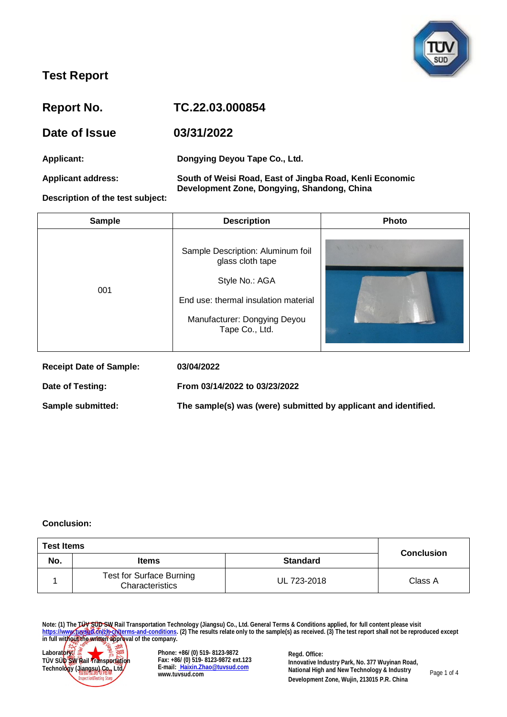

| Report No.                       | TC.22.03.000854                                                                                         |
|----------------------------------|---------------------------------------------------------------------------------------------------------|
| Date of Issue                    | 03/31/2022                                                                                              |
| Applicant:                       | Dongying Deyou Tape Co., Ltd.                                                                           |
| <b>Applicant address:</b>        | South of Weisi Road, East of Jingba Road, Kenli Economic<br>Development Zone, Dongying, Shandong, China |
| Description of the test subject: |                                                                                                         |

| <b>Sample</b>                  | <b>Description</b>                                                                                                                                                | <b>Photo</b> |
|--------------------------------|-------------------------------------------------------------------------------------------------------------------------------------------------------------------|--------------|
| 001                            | Sample Description: Aluminum foil<br>glass cloth tape<br>Style No.: AGA<br>End use: thermal insulation material<br>Manufacturer: Dongying Deyou<br>Tape Co., Ltd. |              |
| <b>Receipt Date of Sample:</b> | 03/04/2022                                                                                                                                                        |              |
| Date of Testing:               | From 03/14/2022 to 03/23/2022                                                                                                                                     |              |

**Sample submitted: The sample(s) was (were) submitted by applicant and identified.**

#### **Conclusion:**

| <b>Test Items</b> |                                                    |                 |                   |
|-------------------|----------------------------------------------------|-----------------|-------------------|
| No.               | <b>Items</b>                                       | <b>Standard</b> | <b>Conclusion</b> |
|                   | <b>Test for Surface Burning</b><br>Characteristics | UL 723-2018     | Class A           |

**Note: (1) The TÜV SÜD SW Rail Transportation Technology (Jiangsu) Co., Ltd. General Terms & Conditions applied, for full content please visit [https://www.tuvsud.cn/zh-cn/terms-and-conditions.](https://www.tuvsud.cn/zh-cn/terms-and-conditions) (2) The results relate only to the sample(s) as received. (3) The test report shall not be reproduced except in full without the written approval of the company.**



**Phone: +86/ (0) 519- 8123-9872 Fax: +86/ (0) 519- 8123-9872 ext.123 E-mail: [Haixin.Zhao@tuvsud.com](mailto: Haixin.Zhao@tuvsud.com) www.tuvsud.com**

**Regd. Office: Innovative Industry Park, No. 377 Wuyinan Road, National High and New Technology & Industry Development Zone, Wujin, 213015 P.R. China**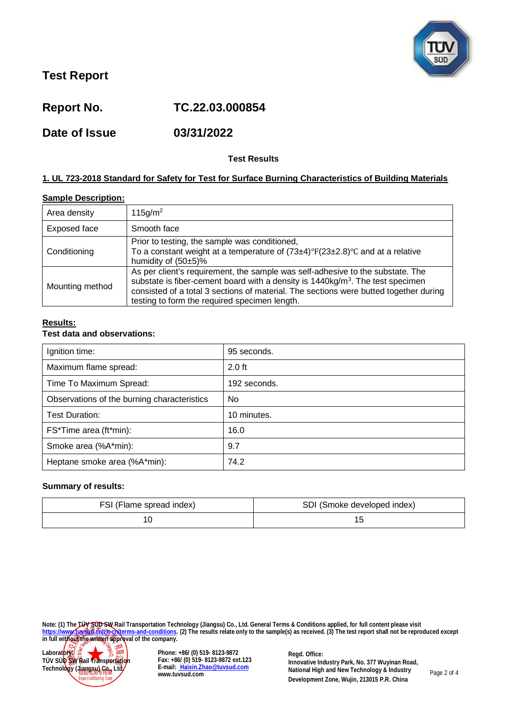

**Report No. TC.22.03.000854**

**Date of Issue 03/31/2022**

## **Test Results**

## **1. UL 723-2018 Standard for Safety for Test for Surface Burning Characteristics of Building Materials**

### **Sample Description:**

| Area density    | $115$ g/m <sup>2</sup>                                                                                                                                                                                                                                                                                                |
|-----------------|-----------------------------------------------------------------------------------------------------------------------------------------------------------------------------------------------------------------------------------------------------------------------------------------------------------------------|
| Exposed face    | Smooth face                                                                                                                                                                                                                                                                                                           |
| Conditioning    | Prior to testing, the sample was conditioned,<br>To a constant weight at a temperature of $(73\pm4)^\circ F(23\pm2.8)^\circ C$ and at a relative<br>humidity of $(50±5)\%$                                                                                                                                            |
| Mounting method | As per client's requirement, the sample was self-adhesive to the substate. The<br>substate is fiber-cement board with a density is $1440 \text{kg/m}^3$ . The test specimen<br>consisted of a total 3 sections of material. The sections were butted together during<br>testing to form the required specimen length. |

### **Results:**

### **Test data and observations:**

| Ignition time:                              | 95 seconds.  |
|---------------------------------------------|--------------|
| Maximum flame spread:                       | $2.0$ ft     |
| Time To Maximum Spread:                     | 192 seconds. |
| Observations of the burning characteristics | No.          |
| Test Duration:                              | 10 minutes.  |
| FS*Time area (ft*min):                      | 16.0         |
| Smoke area (%A*min):                        | 9.7          |
| Heptane smoke area (%A*min):                | 74.2         |

#### **Summary of results:**

| FSI (Flame spread index) | SDI (Smoke developed index) |
|--------------------------|-----------------------------|
|                          |                             |

**Note: (1) The TÜV SÜD SW Rail Transportation Technology (Jiangsu) Co., Ltd. General Terms & Conditions applied, for full content please visit [https://www.tuvsud.cn/zh-cn/terms-and-conditions.](https://www.tuvsud.cn/zh-cn/terms-and-conditions) (2) The results relate only to the sample(s) as received. (3) The test report shall not be reproduced except in full without the written approval of the company.**



**Phone: +86/ (0) 519- 8123-9872 Fax: +86/ (0) 519- 8123-9872 ext.123 E-mail: [Haixin.Zhao@tuvsud.com](mailto: Haixin.Zhao@tuvsud.com) www.tuvsud.com**

**Regd. Office: Innovative Industry Park, No. 377 Wuyinan Road, National High and New Technology & Industry Development Zone, Wujin, 213015 P.R. China**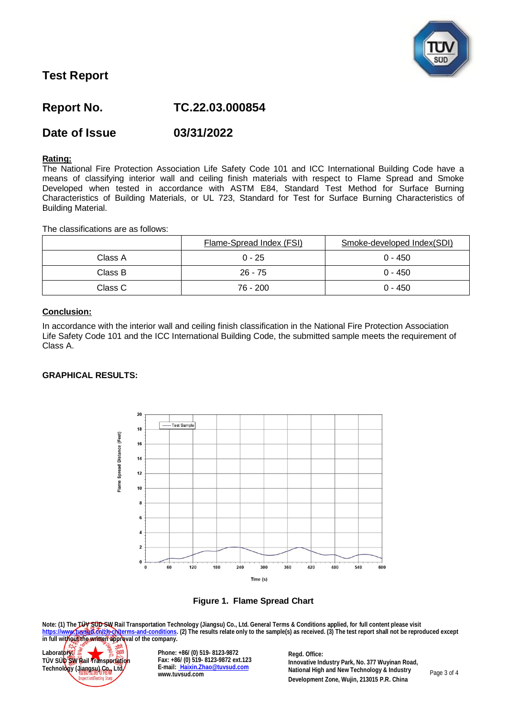

# **Report No. TC.22.03.000854**

## **Date of Issue 03/31/2022**

#### **Rating:**

The National Fire Protection Association Life Safety Code 101 and ICC International Building Code have a means of classifying interior wall and ceiling finish materials with respect to Flame Spread and Smoke Developed when tested in accordance with ASTM E84, Standard Test Method for Surface Burning Characteristics of Building Materials, or UL 723, Standard for Test for Surface Burning Characteristics of Building Material.

The classifications are as follows:

|         | Flame-Spread Index (FSI) | Smoke-developed Index(SDI) |
|---------|--------------------------|----------------------------|
| Class A | $0 - 25$                 | $0 - 450$                  |
| Class B | $26 - 75$                | $0 - 450$                  |
| Class C | 76 - 200                 | $0 - 450$                  |

### **Conclusion:**

In accordance with the interior wall and ceiling finish classification in the National Fire Protection Association Life Safety Code 101 and the ICC International Building Code, the submitted sample meets the requirement of Class A.

#### **GRAPHICAL RESULTS:**



**Figure 1. Flame Spread Chart**

**Note: (1) The TÜV SÜD SW Rail Transportation Technology (Jiangsu) Co., Ltd. General Terms & Conditions applied, for full content please visit [https://www.tuvsud.cn/zh-cn/terms-and-conditions.](https://www.tuvsud.cn/zh-cn/terms-and-conditions) (2) The results relate only to the sample(s) as received. (3) The test report shall not be reproduced except ittps://www.fussedt.org/providents.and-company** (changed) sources in the sample(s) as received. (3) The test report shall not be reproduced except<br>in full without the written approval of the company.



**Phone: +86/ (0) 519- 8123-9872 Fax: +86/ (0) 519- 8123-9872 ext.123 E-mail: [Haixin.Zhao@tuvsud.com](mailto: Haixin.Zhao@tuvsud.com) www.tuvsud.com**

**Regd. Office: Innovative Industry Park, No. 377 Wuyinan Road, National High and New Technology & Industry Development Zone, Wujin, 213015 P.R. China**